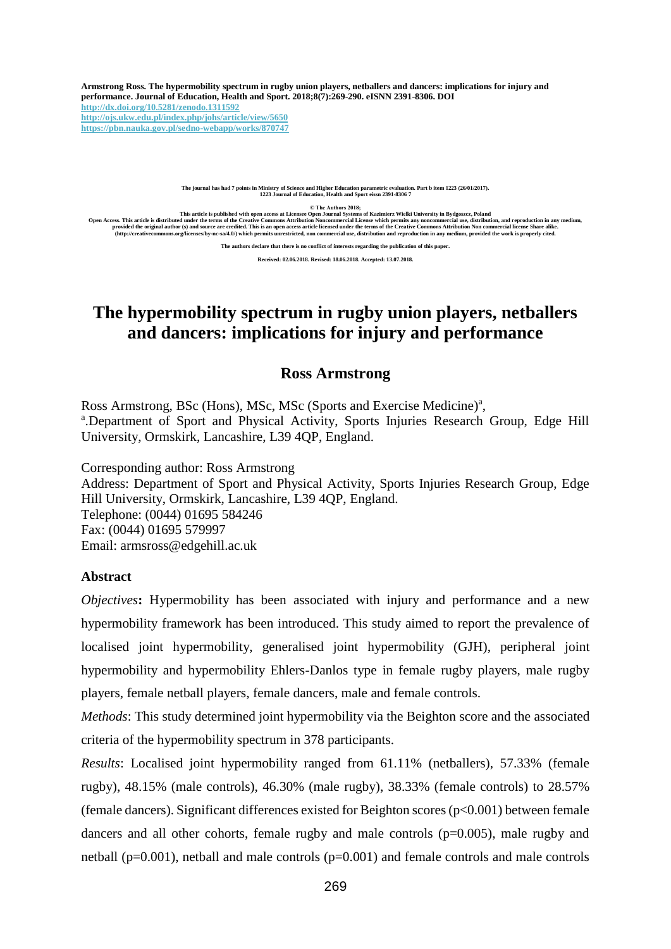**Armstrong Ross. The hypermobility spectrum in rugby union players, netballers and dancers: implications for injury and performance. Journal of Education, Health and Sport. 2018;8(7):269-290. eISNN 2391-8306. DOI <http://dx.doi.org/10.5281/zenodo.1311592> <http://ojs.ukw.edu.pl/index.php/johs/article/view/5650> <https://pbn.nauka.gov.pl/sedno-webapp/works/870747>**

**The journal has had 7 points in Ministry of Science and Higher Education parametric evaluation. Part b item 1223 (26/01/2017). 1223 Journal of Education, Health and Sport eissn 2391-8306 7**

**© The Authors 2018;**

This article is published with open access at Licensee Open Journal Systems of Kazimierz Wielki University in Bydgoszcz, Poland<br>Open Access. This article is distributed under the terms of the Creative Commons Attribution N

**The authors declare that there is no conflict of interests regarding the publication of this paper.**

**Received: 02.06.2018. Revised: 18.06.2018. Accepted: 13.07.2018.**

# **The hypermobility spectrum in rugby union players, netballers and dancers: implications for injury and performance**

# **Ross Armstrong**

Ross Armstrong, BSc (Hons), MSc, MSc (Sports and Exercise Medicine)<sup>a</sup>, a.Department of Sport and Physical Activity, Sports Injuries Research Group, Edge Hill University, Ormskirk, Lancashire, L39 4QP, England.

Corresponding author: Ross Armstrong Address: Department of Sport and Physical Activity, Sports Injuries Research Group, Edge Hill University, Ormskirk, Lancashire, L39 4QP, England. Telephone: (0044) 01695 584246 Fax: (0044) 01695 579997 Email: [armsross@edgehill.ac.uk](mailto:armsross@edgehill.ac.uk)

# **Abstract**

*Objectives*: Hypermobility has been associated with injury and performance and a new hypermobility framework has been introduced. This study aimed to report the prevalence of localised joint hypermobility, generalised joint hypermobility (GJH), peripheral joint hypermobility and hypermobility Ehlers-Danlos type in female rugby players, male rugby players, female netball players, female dancers, male and female controls.

*Methods*: This study determined joint hypermobility via the Beighton score and the associated criteria of the hypermobility spectrum in 378 participants.

*Results*: Localised joint hypermobility ranged from 61.11% (netballers), 57.33% (female rugby), 48.15% (male controls), 46.30% (male rugby), 38.33% (female controls) to 28.57% (female dancers). Significant differences existed for Beighton scores ( $p<0.001$ ) between female dancers and all other cohorts, female rugby and male controls (p=0.005), male rugby and netball ( $p=0.001$ ), netball and male controls ( $p=0.001$ ) and female controls and male controls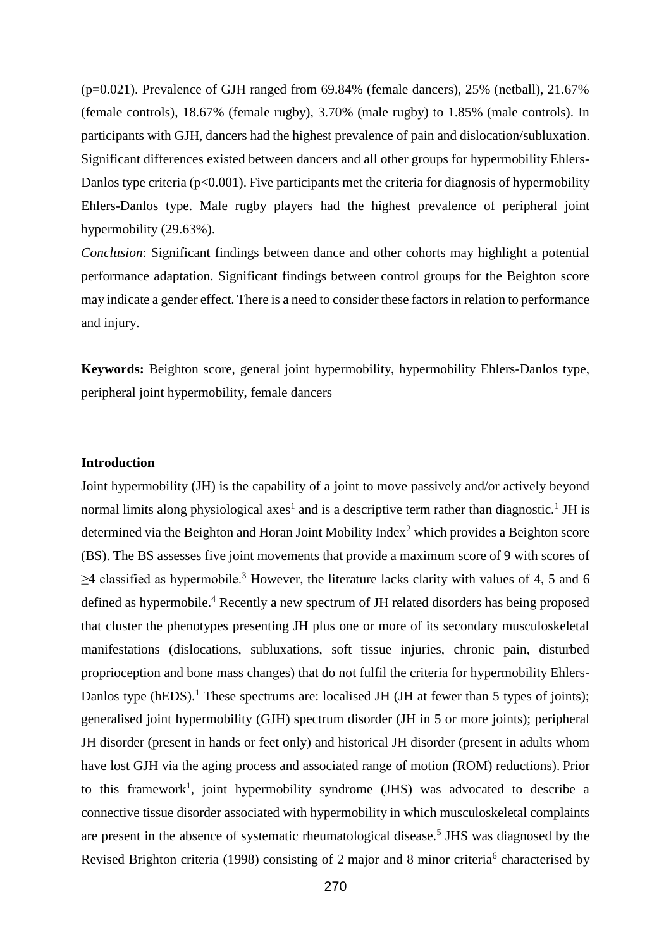(p=0.021). Prevalence of GJH ranged from 69.84% (female dancers), 25% (netball), 21.67% (female controls), 18.67% (female rugby), 3.70% (male rugby) to 1.85% (male controls). In participants with GJH, dancers had the highest prevalence of pain and dislocation/subluxation. Significant differences existed between dancers and all other groups for hypermobility Ehlers-Danlos type criteria ( $p<0.001$ ). Five participants met the criteria for diagnosis of hypermobility Ehlers-Danlos type. Male rugby players had the highest prevalence of peripheral joint hypermobility  $(29.63\%)$ .

*Conclusion*: Significant findings between dance and other cohorts may highlight a potential performance adaptation. Significant findings between control groups for the Beighton score may indicate a gender effect. There is a need to consider these factors in relation to performance and injury.

**Keywords:** Beighton score, general joint hypermobility, hypermobility Ehlers-Danlos type, peripheral joint hypermobility, female dancers

# **Introduction**

Joint hypermobility (JH) is the capability of a joint to move passively and/or actively beyond normal limits along physiological axes<sup>1</sup> and is a descriptive term rather than diagnostic.<sup>1</sup> JH is determined via the Beighton and Horan Joint Mobility Index<sup>2</sup> which provides a Beighton score (BS). The BS assesses five joint movements that provide a maximum score of 9 with scores of  $\geq$ 4 classified as hypermobile.<sup>3</sup> However, the literature lacks clarity with values of 4, 5 and 6 defined as hypermobile.<sup>4</sup> Recently a new spectrum of JH related disorders has being proposed that cluster the phenotypes presenting JH plus one or more of its secondary musculoskeletal manifestations (dislocations, subluxations, soft tissue injuries, chronic pain, disturbed proprioception and bone mass changes) that do not fulfil the criteria for hypermobility Ehlers-Danlos type (hEDS).<sup>1</sup> These spectrums are: localised JH (JH at fewer than 5 types of joints); generalised joint hypermobility (GJH) spectrum disorder (JH in 5 or more joints); peripheral JH disorder (present in hands or feet only) and historical JH disorder (present in adults whom have lost GJH via the aging process and associated range of motion (ROM) reductions). Prior to this framework<sup>1</sup>, joint hypermobility syndrome (JHS) was advocated to describe a connective tissue disorder associated with hypermobility in which musculoskeletal complaints are present in the absence of systematic rheumatological disease.<sup>5</sup> JHS was diagnosed by the Revised Brighton criteria (1998) consisting of 2 major and 8 minor criteria<sup>6</sup> characterised by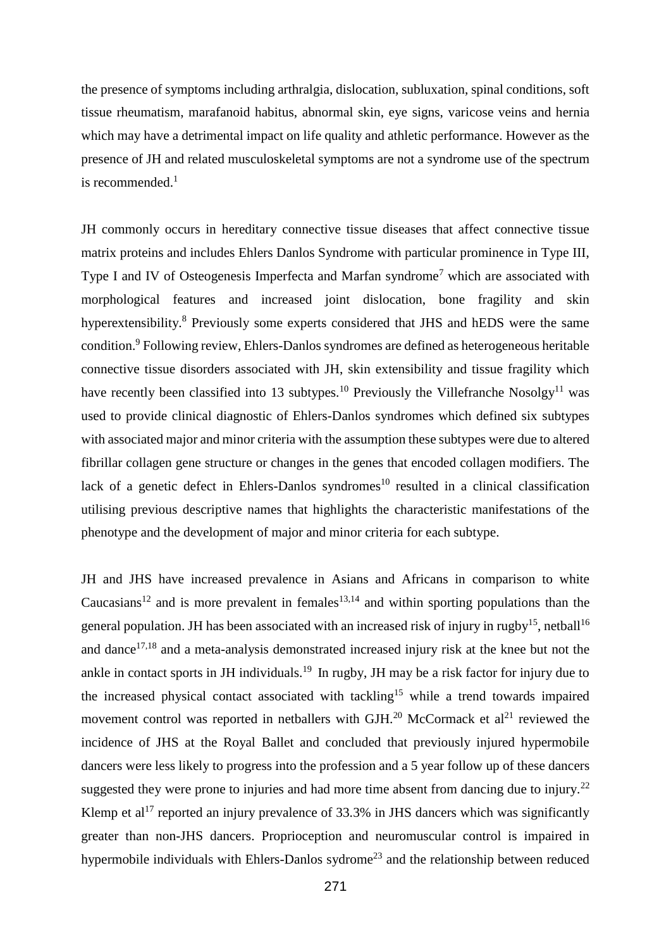the presence of symptoms including arthralgia, dislocation, subluxation, spinal conditions, soft tissue rheumatism, marafanoid habitus, abnormal skin, eye signs, varicose veins and hernia which may have a detrimental impact on life quality and athletic performance. However as the presence of JH and related musculoskeletal symptoms are not a syndrome use of the spectrum is recommended. $<sup>1</sup>$ </sup>

JH commonly occurs in hereditary connective tissue diseases that affect connective tissue matrix proteins and includes Ehlers Danlos Syndrome with particular prominence in Type III, Type I and IV of Osteogenesis Imperfecta and Marfan syndrome<sup>7</sup> which are associated with morphological features and increased joint dislocation, bone fragility and skin hyperextensibility.<sup>8</sup> Previously some experts considered that JHS and hEDS were the same condition.<sup>9</sup> Following review, Ehlers-Danlos syndromes are defined as heterogeneous heritable connective tissue disorders associated with JH, skin extensibility and tissue fragility which have recently been classified into 13 subtypes.<sup>10</sup> Previously the Villefranche Nosolgy<sup>11</sup> was used to provide clinical diagnostic of Ehlers-Danlos syndromes which defined six subtypes with associated major and minor criteria with the assumption these subtypes were due to altered fibrillar collagen gene structure or changes in the genes that encoded collagen modifiers. The lack of a genetic defect in Ehlers-Danlos syndromes<sup>10</sup> resulted in a clinical classification utilising previous descriptive names that highlights the characteristic manifestations of the phenotype and the development of major and minor criteria for each subtype.

JH and JHS have increased prevalence in Asians and Africans in comparison to white Caucasians<sup>12</sup> and is more prevalent in females<sup>13,14</sup> and within sporting populations than the general population. JH has been associated with an increased risk of injury in rugby<sup>15</sup>, netball<sup>16</sup> and dance<sup> $17,18$ </sup> and a meta-analysis demonstrated increased injury risk at the knee but not the ankle in contact sports in JH individuals.<sup>19</sup> In rugby, JH may be a risk factor for injury due to the increased physical contact associated with tackling<sup>15</sup> while a trend towards impaired movement control was reported in netballers with  $GJH<sup>20</sup>$  McCormack et al<sup>21</sup> reviewed the incidence of JHS at the Royal Ballet and concluded that previously injured hypermobile dancers were less likely to progress into the profession and a 5 year follow up of these dancers suggested they were prone to injuries and had more time absent from dancing due to injury.<sup>22</sup> Klemp et  $al^{17}$  reported an injury prevalence of 33.3% in JHS dancers which was significantly greater than non-JHS dancers. Proprioception and neuromuscular control is impaired in hypermobile individuals with Ehlers-Danlos sydrome<sup>23</sup> and the relationship between reduced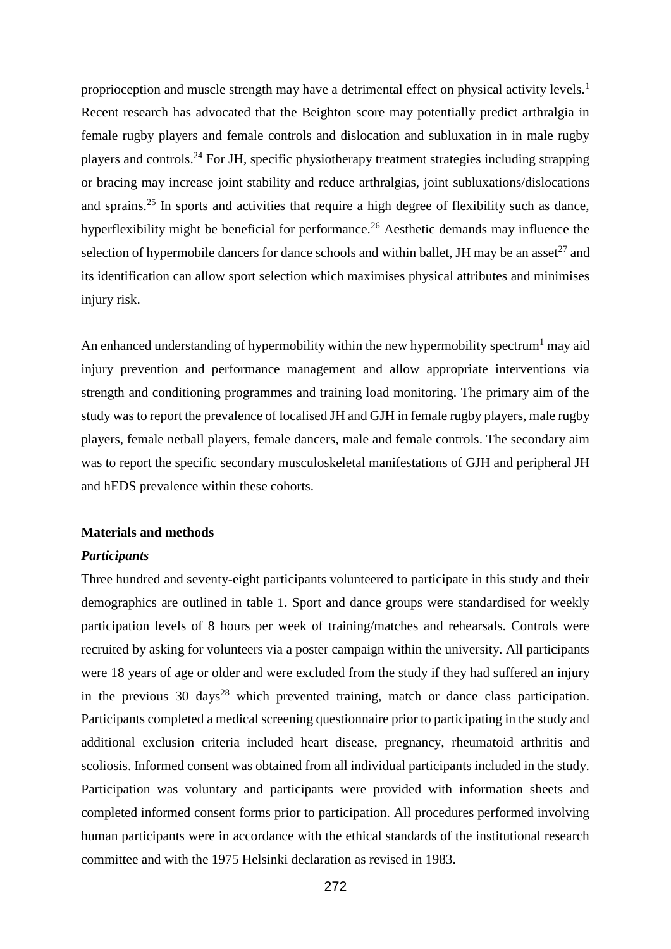proprioception and muscle strength may have a detrimental effect on physical activity levels.<sup>1</sup> Recent research has advocated that the Beighton score may potentially predict arthralgia in female rugby players and female controls and dislocation and subluxation in in male rugby players and controls.<sup>24</sup> For JH, specific physiotherapy treatment strategies including strapping or bracing may increase joint stability and reduce arthralgias, joint subluxations/dislocations and sprains.<sup>25</sup> In sports and activities that require a high degree of flexibility such as dance, hyperflexibility might be beneficial for performance.<sup>26</sup> Aesthetic demands may influence the selection of hypermobile dancers for dance schools and within ballet, JH may be an asset<sup>27</sup> and its identification can allow sport selection which maximises physical attributes and minimises injury risk.

An enhanced understanding of hypermobility within the new hypermobility spectrum<sup>1</sup> may aid injury prevention and performance management and allow appropriate interventions via strength and conditioning programmes and training load monitoring. The primary aim of the study was to report the prevalence of localised JH and GJH in female rugby players, male rugby players, female netball players, female dancers, male and female controls. The secondary aim was to report the specific secondary musculoskeletal manifestations of GJH and peripheral JH and hEDS prevalence within these cohorts.

#### **Materials and methods**

#### *Participants*

Three hundred and seventy-eight participants volunteered to participate in this study and their demographics are outlined in table 1. Sport and dance groups were standardised for weekly participation levels of 8 hours per week of training/matches and rehearsals. Controls were recruited by asking for volunteers via a poster campaign within the university. All participants were 18 years of age or older and were excluded from the study if they had suffered an injury in the previous 30 days<sup>28</sup> which prevented training, match or dance class participation. Participants completed a medical screening questionnaire prior to participating in the study and additional exclusion criteria included heart disease, pregnancy, rheumatoid arthritis and scoliosis. Informed consent was obtained from all individual participants included in the study. Participation was voluntary and participants were provided with information sheets and completed informed consent forms prior to participation. All procedures performed involving human participants were in accordance with the ethical standards of the institutional research committee and with the 1975 Helsinki declaration as revised in 1983.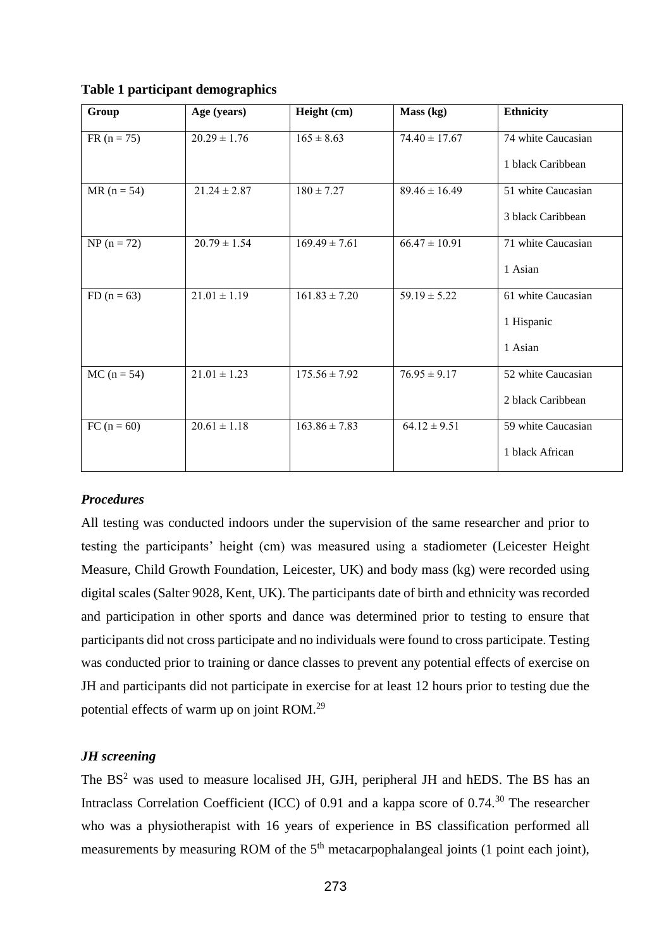| Group         | Age (years)      | Height (cm)       | Mass (kg)         | <b>Ethnicity</b>   |
|---------------|------------------|-------------------|-------------------|--------------------|
| $FR (n = 75)$ | $20.29 \pm 1.76$ | $165 \pm 8.63$    | $74.40 \pm 17.67$ | 74 white Caucasian |
|               |                  |                   |                   | 1 black Caribbean  |
| $MR (n = 54)$ | $21.24 \pm 2.87$ | $180 \pm 7.27$    | $89.46 \pm 16.49$ | 51 white Caucasian |
|               |                  |                   |                   | 3 black Caribbean  |
| $NP (n = 72)$ | $20.79 \pm 1.54$ | $169.49 \pm 7.61$ | $66.47 \pm 10.91$ | 71 white Caucasian |
|               |                  |                   |                   | 1 Asian            |
| $FD (n = 63)$ | $21.01 \pm 1.19$ | $161.83 \pm 7.20$ | $59.19 \pm 5.22$  | 61 white Caucasian |
|               |                  |                   |                   | 1 Hispanic         |
|               |                  |                   |                   | 1 Asian            |
| $MC (n = 54)$ | $21.01 \pm 1.23$ | $175.56 \pm 7.92$ | $76.95 \pm 9.17$  | 52 white Caucasian |
|               |                  |                   |                   | 2 black Caribbean  |
| $FC (n = 60)$ | $20.61 \pm 1.18$ | $163.86 \pm 7.83$ | $64.12 \pm 9.51$  | 59 white Caucasian |
|               |                  |                   |                   | 1 black African    |

**Table 1 participant demographics**

# *Procedures*

All testing was conducted indoors under the supervision of the same researcher and prior to testing the participants' height (cm) was measured using a stadiometer (Leicester Height Measure, Child Growth Foundation, Leicester, UK) and body mass (kg) were recorded using digital scales (Salter 9028, Kent, UK). The participants date of birth and ethnicity was recorded and participation in other sports and dance was determined prior to testing to ensure that participants did not cross participate and no individuals were found to cross participate. Testing was conducted prior to training or dance classes to prevent any potential effects of exercise on JH and participants did not participate in exercise for at least 12 hours prior to testing due the potential effects of warm up on joint ROM.<sup>29</sup>

# *JH screening*

The  $BS<sup>2</sup>$  was used to measure localised JH, GJH, peripheral JH and hEDS. The BS has an Intraclass Correlation Coefficient (ICC) of 0.91 and a kappa score of  $0.74<sup>30</sup>$  The researcher who was a physiotherapist with 16 years of experience in BS classification performed all measurements by measuring ROM of the  $5<sup>th</sup>$  metacarpophalangeal joints (1 point each joint),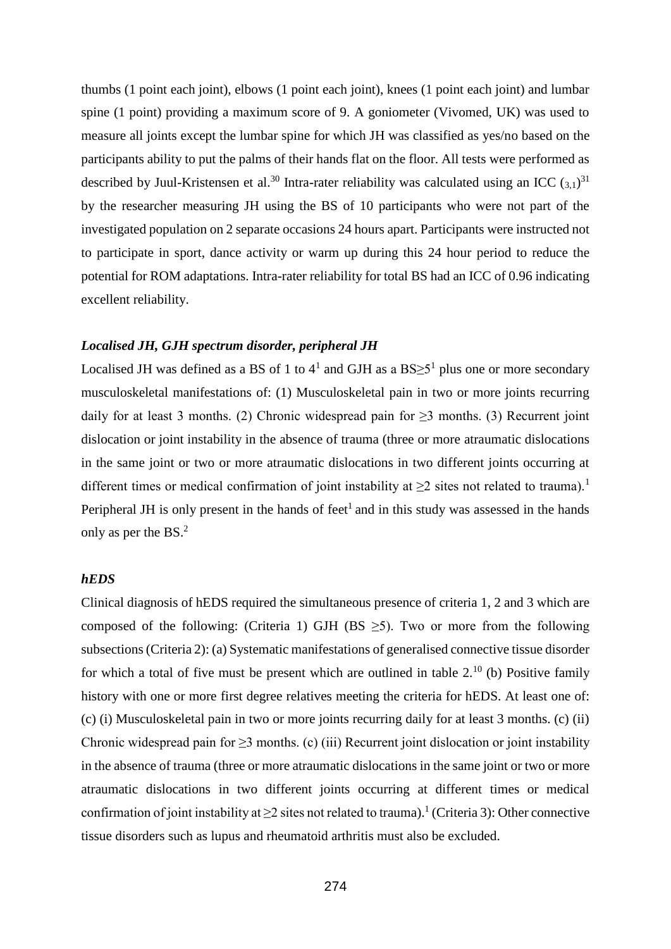thumbs (1 point each joint), elbows (1 point each joint), knees (1 point each joint) and lumbar spine (1 point) providing a maximum score of 9. A goniometer (Vivomed, UK) was used to measure all joints except the lumbar spine for which JH was classified as yes/no based on the participants ability to put the palms of their hands flat on the floor. All tests were performed as described by Juul-Kristensen et al.<sup>30</sup> Intra-rater reliability was calculated using an ICC  $(3,1)^{31}$ by the researcher measuring JH using the BS of 10 participants who were not part of the investigated population on 2 separate occasions 24 hours apart. Participants were instructed not to participate in sport, dance activity or warm up during this 24 hour period to reduce the potential for ROM adaptations. Intra-rater reliability for total BS had an ICC of 0.96 indicating excellent reliability.

### *Localised JH, GJH spectrum disorder, peripheral JH*

Localised JH was defined as a BS of 1 to  $4^1$  and GJH as a BS $\geq 5^1$  plus one or more secondary musculoskeletal manifestations of: (1) Musculoskeletal pain in two or more joints recurring daily for at least 3 months. (2) Chronic widespread pain for  $\geq$ 3 months. (3) Recurrent joint dislocation or joint instability in the absence of trauma (three or more atraumatic dislocations in the same joint or two or more atraumatic dislocations in two different joints occurring at different times or medical confirmation of joint instability at  $\geq 2$  sites not related to trauma).<sup>1</sup> Peripheral JH is only present in the hands of feet<sup>1</sup> and in this study was assessed in the hands only as per the BS. 2

# *hEDS*

Clinical diagnosis of hEDS required the simultaneous presence of criteria 1, 2 and 3 which are composed of the following: (Criteria 1) GJH (BS  $\geq$ 5). Two or more from the following subsections (Criteria 2): (a) Systematic manifestations of generalised connective tissue disorder for which a total of five must be present which are outlined in table  $2^{10}$  (b) Positive family history with one or more first degree relatives meeting the criteria for hEDS. At least one of: (c) (i) Musculoskeletal pain in two or more joints recurring daily for at least 3 months. (c) (ii) Chronic widespread pain for  $\geq$ 3 months. (c) (iii) Recurrent joint dislocation or joint instability in the absence of trauma (three or more atraumatic dislocations in the same joint or two or more atraumatic dislocations in two different joints occurring at different times or medical confirmation of joint instability at  $\geq 2$  sites not related to trauma).<sup>1</sup> (Criteria 3): Other connective tissue disorders such as lupus and rheumatoid arthritis must also be excluded.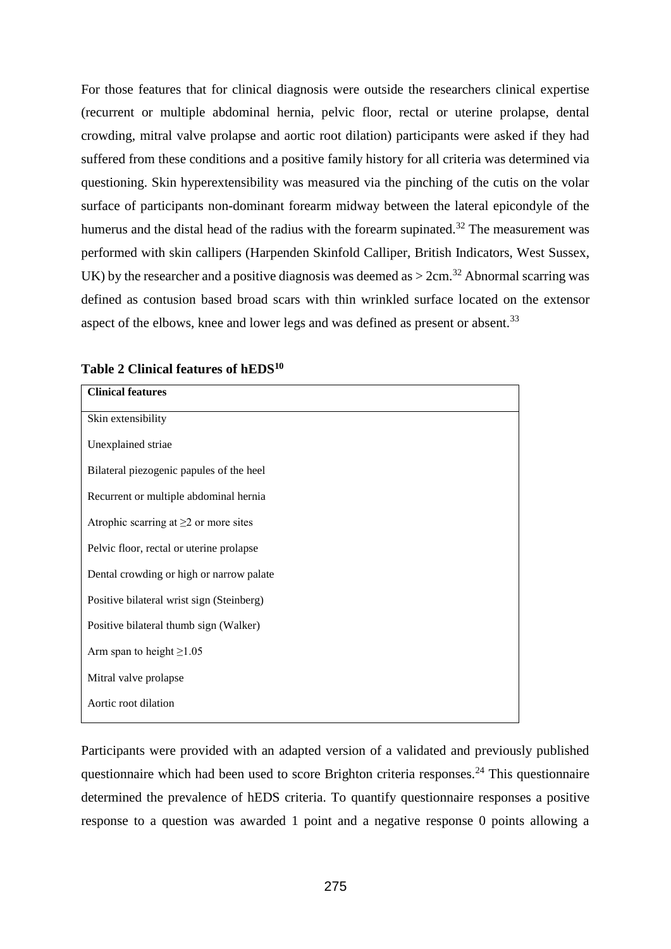For those features that for clinical diagnosis were outside the researchers clinical expertise (recurrent or multiple abdominal hernia, pelvic floor, rectal or uterine prolapse, dental crowding, mitral valve prolapse and aortic root dilation) participants were asked if they had suffered from these conditions and a positive family history for all criteria was determined via questioning. Skin hyperextensibility was measured via the pinching of the cutis on the volar surface of participants non-dominant forearm midway between the lateral epicondyle of the humerus and the distal head of the radius with the forearm supinated.<sup>32</sup> The measurement was performed with skin callipers (Harpenden Skinfold Calliper, British Indicators, West Sussex, UK) by the researcher and a positive diagnosis was deemed as  $> 2$ cm.<sup>32</sup> Abnormal scarring was defined as contusion based broad scars with thin wrinkled surface located on the extensor aspect of the elbows, knee and lower legs and was defined as present or absent.<sup>33</sup>

| <b>Clinical features</b>                    |  |  |  |  |
|---------------------------------------------|--|--|--|--|
| Skin extensibility                          |  |  |  |  |
| Unexplained striae                          |  |  |  |  |
| Bilateral piezogenic papules of the heel    |  |  |  |  |
| Recurrent or multiple abdominal hernia      |  |  |  |  |
| Atrophic scarring at $\geq$ 2 or more sites |  |  |  |  |
| Pelvic floor, rectal or uterine prolapse    |  |  |  |  |
| Dental crowding or high or narrow palate    |  |  |  |  |
| Positive bilateral wrist sign (Steinberg)   |  |  |  |  |
| Positive bilateral thumb sign (Walker)      |  |  |  |  |
| Arm span to height $\geq$ 1.05              |  |  |  |  |
| Mitral valve prolapse                       |  |  |  |  |
| Aortic root dilation                        |  |  |  |  |

**Table 2 Clinical features of hEDS<sup>10</sup>**

Participants were provided with an adapted version of a validated and previously published questionnaire which had been used to score Brighton criteria responses.<sup>24</sup> This questionnaire determined the prevalence of hEDS criteria. To quantify questionnaire responses a positive response to a question was awarded 1 point and a negative response 0 points allowing a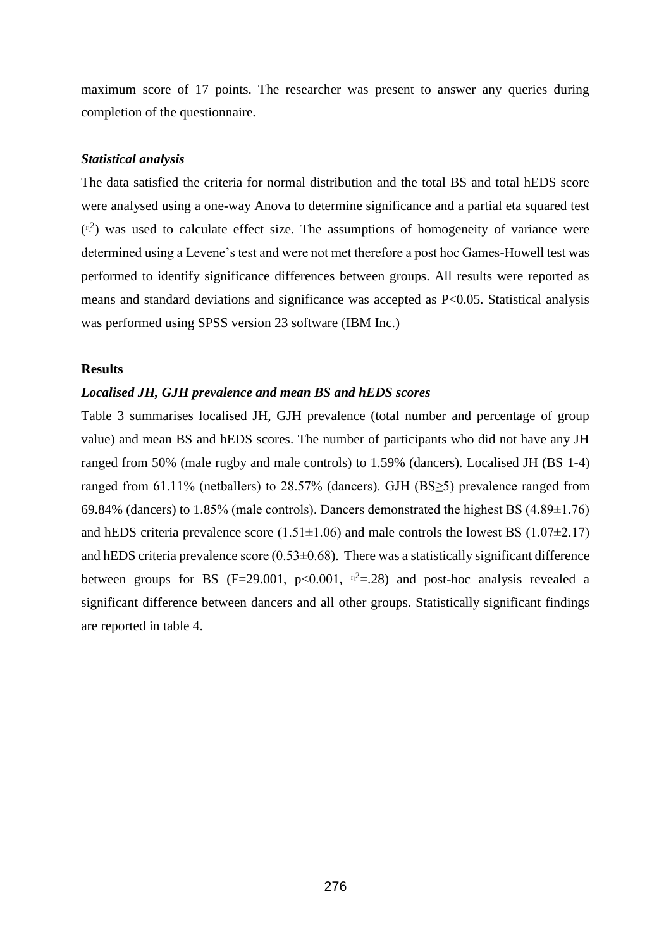maximum score of 17 points. The researcher was present to answer any queries during completion of the questionnaire.

#### *Statistical analysis*

The data satisfied the criteria for normal distribution and the total BS and total hEDS score were analysed using a one-way Anova to determine significance and a partial eta squared test  $(\mathbb{R}^2)$  was used to calculate effect size. The assumptions of homogeneity of variance were determined using a Levene's test and were not met therefore a post hoc Games-Howell test was performed to identify significance differences between groups. All results were reported as means and standard deviations and significance was accepted as P<0.05. Statistical analysis was performed using SPSS version 23 software (IBM Inc.)

#### **Results**

#### *Localised JH, GJH prevalence and mean BS and hEDS scores*

Table 3 summarises localised JH, GJH prevalence (total number and percentage of group value) and mean BS and hEDS scores. The number of participants who did not have any JH ranged from 50% (male rugby and male controls) to 1.59% (dancers). Localised JH (BS 1-4) ranged from 61.11% (netballers) to 28.57% (dancers). GJH (BS≥5) prevalence ranged from 69.84% (dancers) to 1.85% (male controls). Dancers demonstrated the highest BS (4.89±1.76) and hEDS criteria prevalence score  $(1.51\pm1.06)$  and male controls the lowest BS  $(1.07\pm2.17)$ and hEDS criteria prevalence score  $(0.53\pm0.68)$ . There was a statistically significant difference between groups for BS (F=29.001, p<0.001,  $n^2$ =.28) and post-hoc analysis revealed a significant difference between dancers and all other groups. Statistically significant findings are reported in table 4.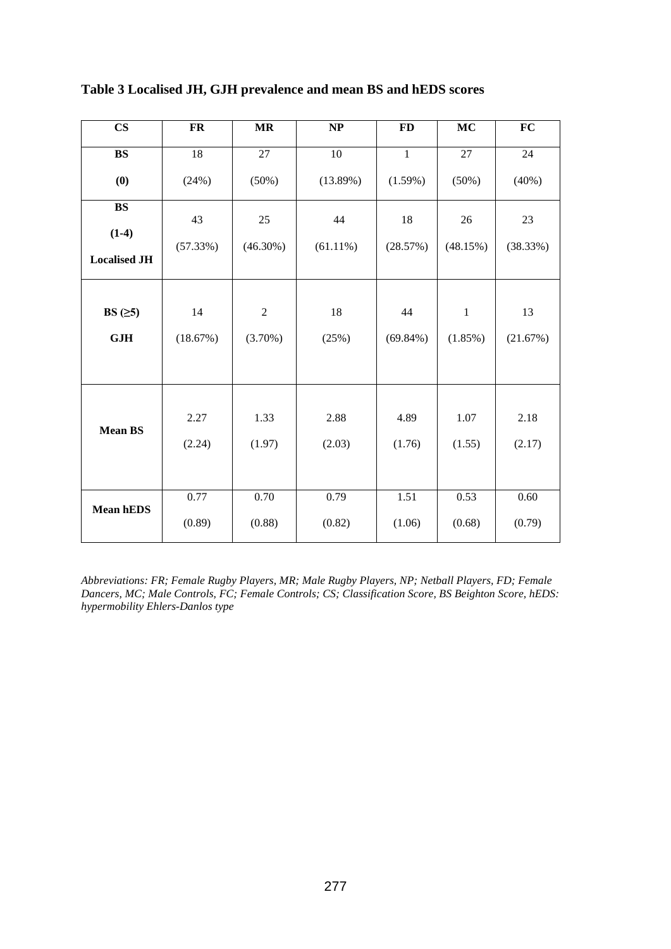| $\mathbf{CS}$        | <b>FR</b> | <b>MR</b>      | NP          | <b>FD</b>    | <b>MC</b>  | <b>FC</b> |
|----------------------|-----------|----------------|-------------|--------------|------------|-----------|
| ${\bf BS}$           | 18        | 27             | $10\,$      | $\mathbf{1}$ | 27         | 24        |
| (0)                  | (24%)     | (50%)          | (13.89%)    | (1.59%)      | (50%)      | (40%)     |
| <b>BS</b><br>$(1-4)$ | 43        | 25             | 44          | 18           | 26         | 23        |
| <b>Localised JH</b>  | (57.33%)  | $(46.30\%)$    | $(61.11\%)$ | (28.57%)     | (48.15%)   | (38.33%)  |
| BS $(≥5)$            | 14        | $\overline{c}$ | 18          | 44           | $\,1\,$    | 13        |
| GJH                  | (18.67%)  | $(3.70\%)$     | (25%)       | $(69.84\%)$  | $(1.85\%)$ | (21.67%)  |
|                      |           |                |             |              |            |           |
| <b>Mean BS</b>       | 2.27      | 1.33           | 2.88        | 4.89         | 1.07       | 2.18      |
|                      | (2.24)    | (1.97)         | (2.03)      | (1.76)       | (1.55)     | (2.17)    |
|                      |           |                |             |              |            |           |
| Mean hEDS            | 0.77      | $0.70\,$       | 0.79        | 1.51         | 0.53       | 0.60      |
|                      | (0.89)    | (0.88)         | (0.82)      | (1.06)       | (0.68)     | (0.79)    |

**Table 3 Localised JH, GJH prevalence and mean BS and hEDS scores**

*Abbreviations: FR; Female Rugby Players, MR; Male Rugby Players, NP; Netball Players, FD; Female Dancers, MC; Male Controls, FC; Female Controls; CS; Classification Score, BS Beighton Score, hEDS: hypermobility Ehlers-Danlos type*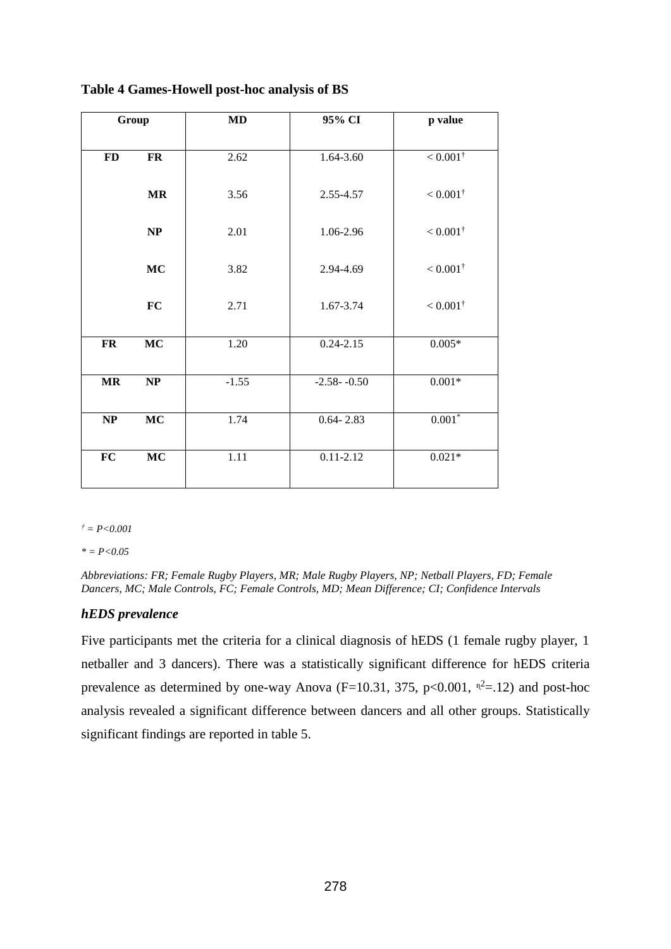| Group                             |                          | MD                | 95% CI          | p value                |
|-----------------------------------|--------------------------|-------------------|-----------------|------------------------|
|                                   |                          |                   |                 |                        |
| ${\bf FD}$                        | $\mathbf{FR}$            | 2.62              | 1.64-3.60       | $< 0.001$ <sup>†</sup> |
|                                   | $\mathbf{MR}$            | 3.56              | 2.55-4.57       | $< 0.001^{\dagger}$    |
|                                   | NP                       | 2.01              | 1.06-2.96       | $< 0.001^{\dagger}$    |
|                                   | <b>MC</b>                | 3.82              | 2.94-4.69       | $< 0.001^{\dagger}$    |
|                                   | FC                       | 2.71              | 1.67-3.74       | $< 0.001^{\dagger}$    |
| <b>FR</b>                         | <b>MC</b>                | 1.20              | $0.24 - 2.15$   | $0.005*$               |
| $\ensuremath{\mathbf{MR}}\xspace$ | $\overline{\mathbf{NP}}$ | $-1.55$           | $-2.58 - -0.50$ | $0.001*$               |
| NP                                | MC                       | 1.74              | $0.64 - 2.83$   | $0.001*$               |
| $\overline{FC}$                   | $\overline{\text{MC}}$   | $\overline{1.11}$ | $0.11 - 2.12$   | $0.021*$               |

**Table 4 Games-Howell post-hoc analysis of BS** 

 $f = P < 0.001$ 

*\* = P<0.05*

*Abbreviations: FR; Female Rugby Players, MR; Male Rugby Players, NP; Netball Players, FD; Female Dancers, MC; Male Controls, FC; Female Controls, MD; Mean Difference; CI; Confidence Intervals*

# *hEDS prevalence*

Five participants met the criteria for a clinical diagnosis of hEDS (1 female rugby player, 1 netballer and 3 dancers). There was a statistically significant difference for hEDS criteria prevalence as determined by one-way Anova ( $F=10.31$ , 375, p<0.001,  $n^2$ =.12) and post-hoc analysis revealed a significant difference between dancers and all other groups. Statistically significant findings are reported in table 5.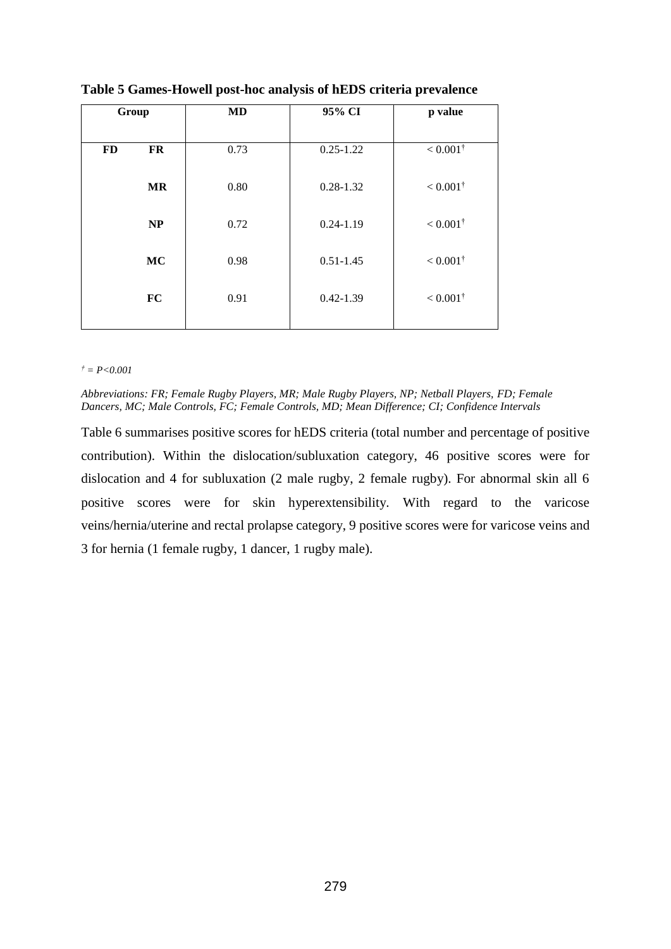| Group     |           | <b>MD</b> | 95% CI        | p value             |
|-----------|-----------|-----------|---------------|---------------------|
|           |           |           |               |                     |
| <b>FD</b> | FR        | 0.73      | $0.25 - 1.22$ | $< 0.001^{\dagger}$ |
|           | <b>MR</b> | 0.80      | $0.28 - 1.32$ | $< 0.001^{\dagger}$ |
|           | <b>NP</b> | 0.72      | $0.24 - 1.19$ | $< 0.001^{\dagger}$ |
|           | <b>MC</b> | 0.98      | $0.51 - 1.45$ | $< 0.001^{\dagger}$ |
|           | <b>FC</b> | 0.91      | $0.42 - 1.39$ | $< 0.001^{\dagger}$ |
|           |           |           |               |                     |

**Table 5 Games-Howell post-hoc analysis of hEDS criteria prevalence**

#### *† = P<0.001*

*Abbreviations: FR; Female Rugby Players, MR; Male Rugby Players, NP; Netball Players, FD; Female Dancers, MC; Male Controls, FC; Female Controls, MD; Mean Difference; CI; Confidence Intervals*

Table 6 summarises positive scores for hEDS criteria (total number and percentage of positive contribution). Within the dislocation/subluxation category, 46 positive scores were for dislocation and 4 for subluxation (2 male rugby, 2 female rugby). For abnormal skin all 6 positive scores were for skin hyperextensibility. With regard to the varicose veins/hernia/uterine and rectal prolapse category, 9 positive scores were for varicose veins and 3 for hernia (1 female rugby, 1 dancer, 1 rugby male).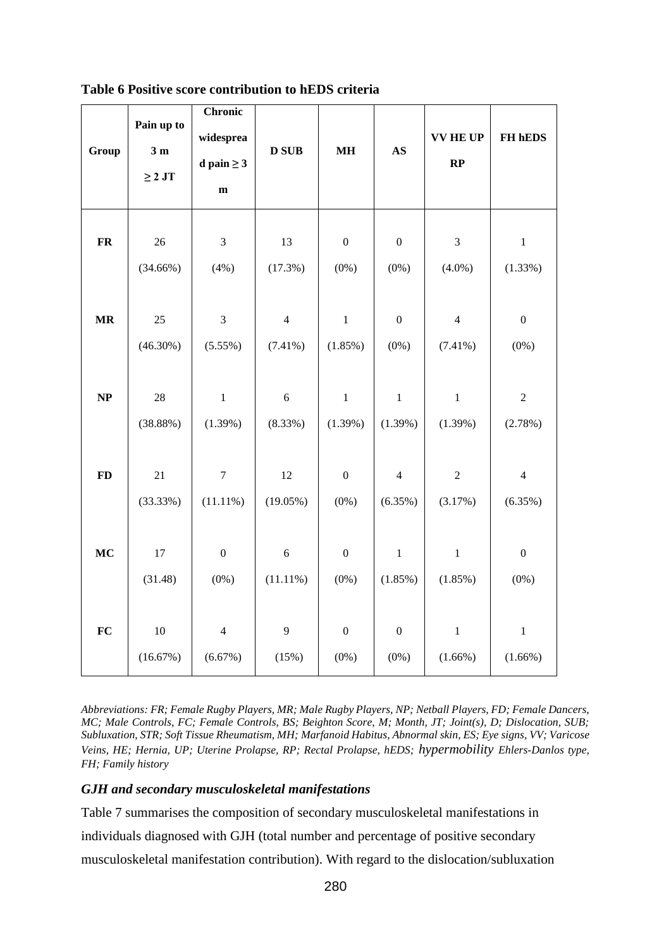| Group      | Pain up to<br>3 <sub>m</sub><br>$\geq 2$ JT | <b>Chronic</b><br>widesprea<br>d pain $\geq 3$<br>$\mathbf{m}$ | <b>D SUB</b>   | $\mathbf{MH}$    | $\mathbf{A}\mathbf{S}$ | <b>VV HE UP</b><br>RP | FH hEDS          |
|------------|---------------------------------------------|----------------------------------------------------------------|----------------|------------------|------------------------|-----------------------|------------------|
| ${\bf FR}$ | 26                                          | $\ensuremath{\mathfrak{Z}}$                                    | 13             | $\boldsymbol{0}$ | $\boldsymbol{0}$       | $\mathfrak 3$         | $\,1$            |
|            | $(34.66\%)$                                 | (4%)                                                           | (17.3%)        | $(0\%)$          | $(0\%)$                | $(4.0\%)$             | (1.33%)          |
| $\bf{MR}$  | $25\,$                                      | $\mathfrak{Z}$                                                 | $\overline{4}$ | $\,1\,$          | $\boldsymbol{0}$       | $\overline{4}$        | $\boldsymbol{0}$ |
|            | $(46.30\%)$                                 | (5.55%)                                                        | $(7.41\%)$     | $(1.85\%)$       | $(0\%)$                | $(7.41\%)$            | $(0\%)$          |
| NP         | 28                                          | $\,1$                                                          | $\sqrt{6}$     | $\mathbf{1}$     | $\mathbf 1$            | $\mathbf{1}$          | $\boldsymbol{2}$ |
|            | (38.88%)                                    | (1.39%)                                                        | (8.33%)        | (1.39%)          | (1.39%)                | $(1.39\%)$            | (2.78%)          |
| <b>FD</b>  | 21                                          | $\boldsymbol{7}$                                               | 12             | $\boldsymbol{0}$ | $\overline{4}$         | $\overline{2}$        | $\overline{4}$   |
|            | (33.33%)                                    | $(11.11\%)$                                                    | $(19.05\%)$    | $(0\%)$          | (6.35%)                | (3.17%)               | (6.35%)          |
| MC         | $17\,$                                      | $\boldsymbol{0}$                                               | $\sqrt{6}$     | $\boldsymbol{0}$ | $\,1$                  | $\mathbf{1}$          | $\boldsymbol{0}$ |
|            | (31.48)                                     | $(0\%)$                                                        | $(11.11\%)$    | $(0\%)$          | (1.85%)                | (1.85%)               | $(0\%)$          |
| FC         | $10\,$                                      | $\overline{4}$                                                 | 9              | $\boldsymbol{0}$ | $\boldsymbol{0}$       | $\,1$                 | $\mathbf{1}$     |
|            | (16.67%)                                    | (6.67%)                                                        | (15%)          | $(0\%)$          | $(0\%)$                | $(1.66\%)$            | $(1.66\%)$       |

**Table 6 Positive score contribution to hEDS criteria**

*Abbreviations: FR; Female Rugby Players, MR; Male Rugby Players, NP; Netball Players, FD; Female Dancers, MC; Male Controls, FC; Female Controls, BS; Beighton Score, M; Month, JT; Joint(s), D; Dislocation, SUB; Subluxation, STR; Soft Tissue Rheumatism, MH; Marfanoid Habitus, Abnormal skin, ES; Eye signs, VV; Varicose Veins, HE; Hernia, UP; Uterine Prolapse, RP; Rectal Prolapse, hEDS; hypermobility Ehlers-Danlos type, FH; Family history*

# *GJH and secondary musculoskeletal manifestations*

Table 7 summarises the composition of secondary musculoskeletal manifestations in individuals diagnosed with GJH (total number and percentage of positive secondary musculoskeletal manifestation contribution). With regard to the dislocation/subluxation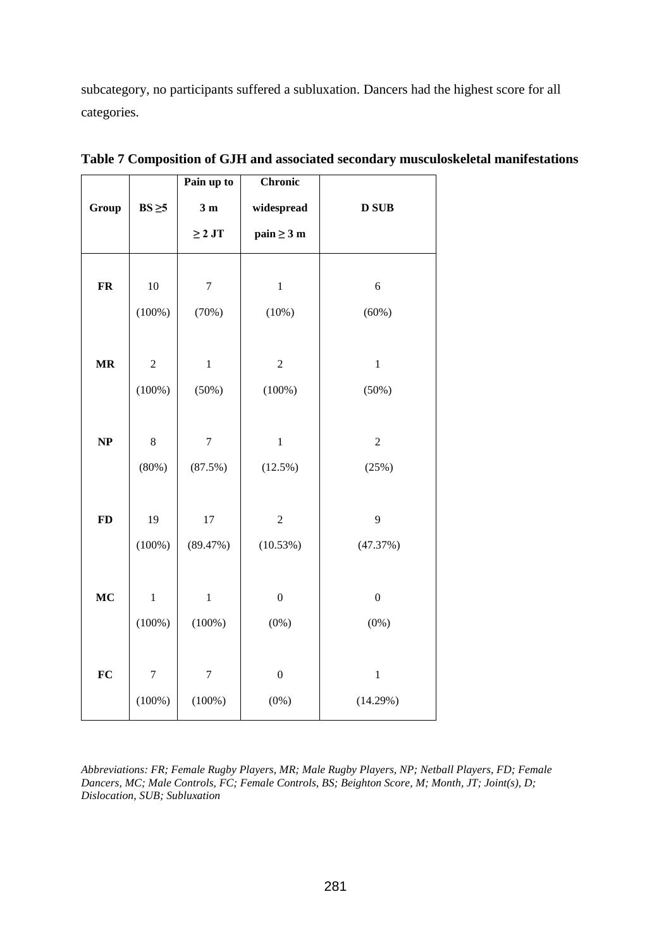subcategory, no participants suffered a subluxation. Dancers had the highest score for all categories.

|            |                | Pain up to     | <b>Chronic</b>   |                  |
|------------|----------------|----------------|------------------|------------------|
| Group      | $BS \geq 5$    | 3 <sub>m</sub> | widespread       | <b>D</b> SUB     |
|            |                | $\geq 2$ JT    | $pain \geq 3 m$  |                  |
| ${\bf FR}$ | $10\,$         | $\sqrt{ }$     | $\,1\,$          | $\boldsymbol{6}$ |
|            |                |                |                  |                  |
|            | $(100\%)$      | (70%)          | (10%)            | (60%)            |
|            |                |                |                  |                  |
| $\bf{MR}$  | $\overline{c}$ | $\,1\,$        | $\mathbf{2}$     | $\,1\,$          |
|            | $(100\%)$      | (50%)          | $(100\%)$        | (50%)            |
|            |                |                |                  |                  |
| NP         | $\,8\,$        | $\sqrt{ }$     | $\,1$            | $\overline{c}$   |
|            |                |                |                  |                  |
|            | (80%)          | (87.5%)        | (12.5%)          | (25%)            |
|            |                |                |                  |                  |
| <b>FD</b>  | 19             | 17             | $\mathbf{2}$     | 9                |
|            | $(100\%)$      | (89.47%)       | (10.53%)         | (47.37%)         |
|            |                |                |                  |                  |
| MC         | $\,1$          | $\,1\,$        | $\boldsymbol{0}$ | $\boldsymbol{0}$ |
|            |                |                |                  |                  |
|            | $(100\%)$      | (100%)         | $(0\%)$          | $(0\%)$          |
|            |                |                |                  |                  |
| FC         | $\overline{7}$ | $\overline{7}$ | $\boldsymbol{0}$ | $\,1\,$          |
|            | $(100\%)$      | (100%)         | $(0\%)$          | (14.29%)         |
|            |                |                |                  |                  |

**Table 7 Composition of GJH and associated secondary musculoskeletal manifestations** 

*Abbreviations: FR; Female Rugby Players, MR; Male Rugby Players, NP; Netball Players, FD; Female Dancers, MC; Male Controls, FC; Female Controls, BS; Beighton Score, M; Month, JT; Joint(s), D; Dislocation, SUB; Subluxation*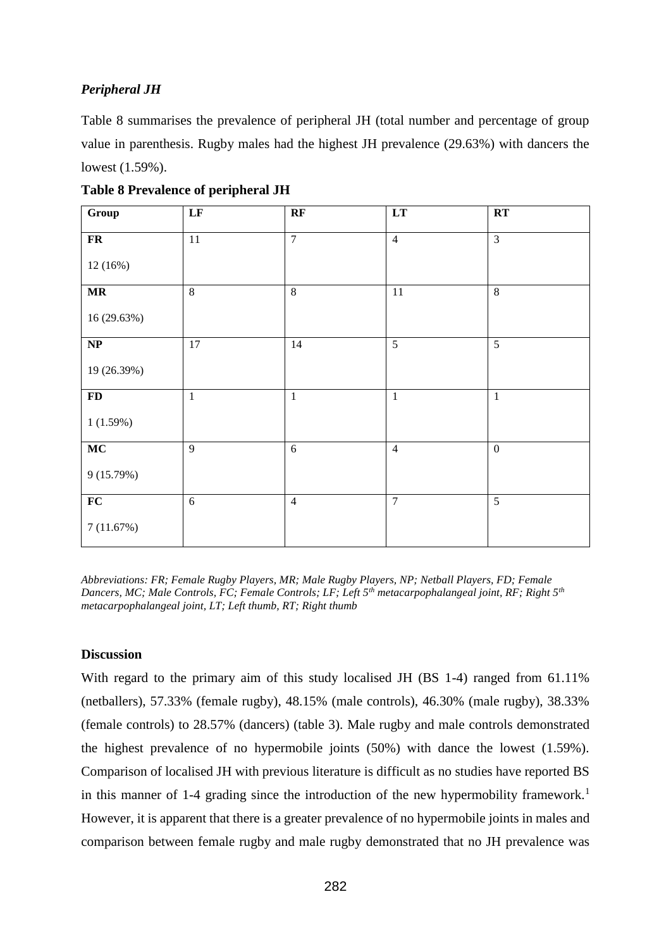# *Peripheral JH*

Table 8 summarises the prevalence of peripheral JH (total number and percentage of group value in parenthesis. Rugby males had the highest JH prevalence (29.63%) with dancers the lowest (1.59%).

| Group                             | LF             | RF             | LT             | RT             |
|-----------------------------------|----------------|----------------|----------------|----------------|
| ${\bf FR}$                        | $11\,$         | $\overline{7}$ | $\overline{4}$ | $\overline{3}$ |
| 12(16%)                           |                |                |                |                |
| $\ensuremath{\mathbf{MR}}\xspace$ | $\overline{8}$ | $\,8\,$        | 11             | $\,8\,$        |
| 16 (29.63%)                       |                |                |                |                |
| $\bf NP$                          | $17\,$         | 14             | 5              | 5              |
| 19 (26.39%)                       |                |                |                |                |
| $\mathbf{FD}$                     | $\mathbf 1$    | $\mathbf{1}$   | $\mathbf{1}$   | $\mathbf{1}$   |
| 1(1.59%)                          |                |                |                |                |
| MC                                | 9              | 6              | $\overline{4}$ | $\mathbf{0}$   |
| 9(15.79%)                         |                |                |                |                |
| ${\bf FC}$                        | 6              | $\overline{4}$ | $\overline{7}$ | $\overline{5}$ |
| 7(11.67%)                         |                |                |                |                |

**Table 8 Prevalence of peripheral JH**

*Abbreviations: FR; Female Rugby Players, MR; Male Rugby Players, NP; Netball Players, FD; Female Dancers, MC; Male Controls, FC; Female Controls; LF; Left 5th metacarpophalangeal joint, RF; Right 5th metacarpophalangeal joint, LT; Left thumb, RT; Right thumb*

# **Discussion**

With regard to the primary aim of this study localised JH (BS 1-4) ranged from 61.11% (netballers), 57.33% (female rugby), 48.15% (male controls), 46.30% (male rugby), 38.33% (female controls) to 28.57% (dancers) (table 3). Male rugby and male controls demonstrated the highest prevalence of no hypermobile joints (50%) with dance the lowest (1.59%). Comparison of localised JH with previous literature is difficult as no studies have reported BS in this manner of 1-4 grading since the introduction of the new hypermobility framework.<sup>1</sup> However, it is apparent that there is a greater prevalence of no hypermobile joints in males and comparison between female rugby and male rugby demonstrated that no JH prevalence was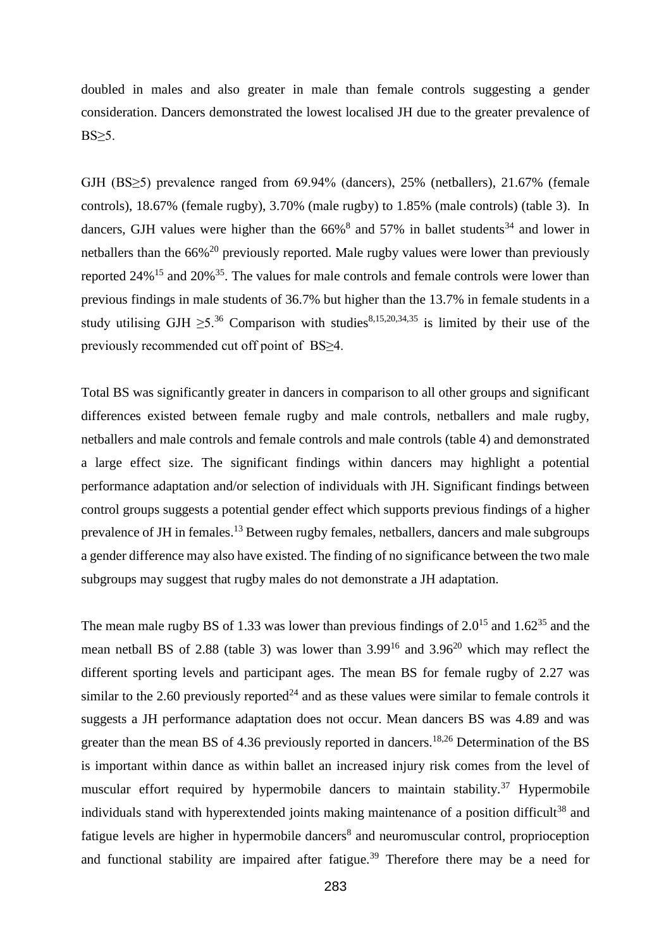doubled in males and also greater in male than female controls suggesting a gender consideration. Dancers demonstrated the lowest localised JH due to the greater prevalence of  $BS \geq 5$ .

GJH (BS≥5) prevalence ranged from 69.94% (dancers), 25% (netballers), 21.67% (female controls), 18.67% (female rugby), 3.70% (male rugby) to 1.85% (male controls) (table 3). In dancers, GJH values were higher than the  $66\%$ <sup>8</sup> and  $57\%$  in ballet students<sup>34</sup> and lower in netballers than the 66%<sup>20</sup> previously reported. Male rugby values were lower than previously reported  $24\%$ <sup>15</sup> and  $20\%$ <sup>35</sup>. The values for male controls and female controls were lower than previous findings in male students of 36.7% but higher than the 13.7% in female students in a study utilising GJH  $\geq 5^{36}$  Comparison with studies<sup>8,15,20,34,35</sup> is limited by their use of the previously recommended cut off point of BS≥4.

Total BS was significantly greater in dancers in comparison to all other groups and significant differences existed between female rugby and male controls, netballers and male rugby, netballers and male controls and female controls and male controls (table 4) and demonstrated a large effect size. The significant findings within dancers may highlight a potential performance adaptation and/or selection of individuals with JH. Significant findings between control groups suggests a potential gender effect which supports previous findings of a higher prevalence of JH in females.<sup>13</sup> Between rugby females, netballers, dancers and male subgroups a gender difference may also have existed. The finding of no significance between the two male subgroups may suggest that rugby males do not demonstrate a JH adaptation.

The mean male rugby BS of 1.33 was lower than previous findings of  $2.0^{15}$  and  $1.62^{35}$  and the mean netball BS of 2.88 (table 3) was lower than  $3.99^{16}$  and  $3.96^{20}$  which may reflect the different sporting levels and participant ages. The mean BS for female rugby of 2.27 was similar to the 2.60 previously reported<sup>24</sup> and as these values were similar to female controls it suggests a JH performance adaptation does not occur. Mean dancers BS was 4.89 and was greater than the mean BS of 4.36 previously reported in dancers.<sup>18,26</sup> Determination of the BS is important within dance as within ballet an increased injury risk comes from the level of muscular effort required by hypermobile dancers to maintain stability.<sup>37</sup> Hypermobile individuals stand with hyperextended joints making maintenance of a position difficult<sup>38</sup> and fatigue levels are higher in hypermobile dancers<sup>8</sup> and neuromuscular control, proprioception and functional stability are impaired after fatigue.<sup>39</sup> Therefore there may be a need for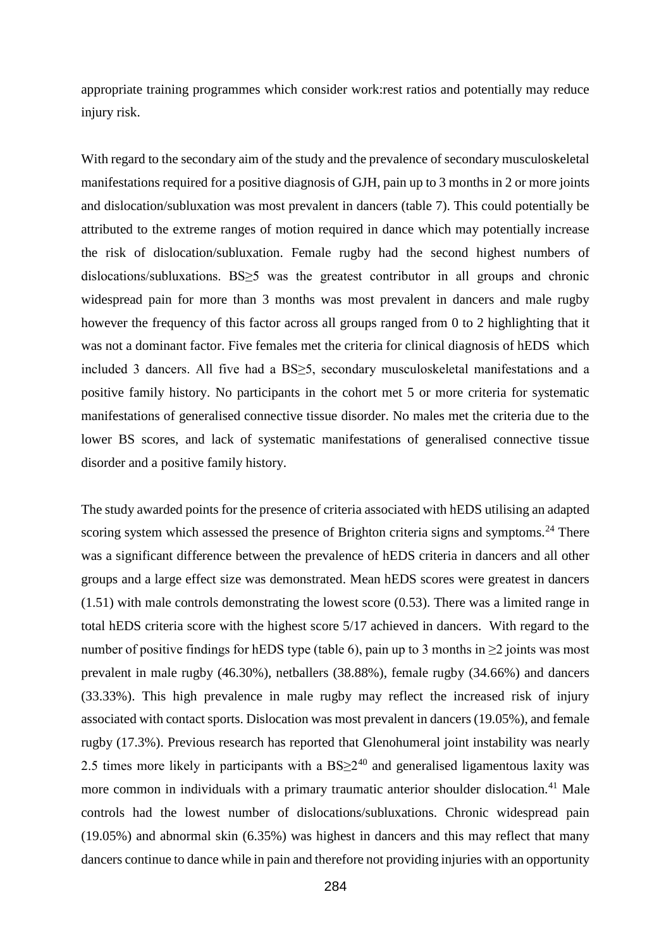appropriate training programmes which consider work:rest ratios and potentially may reduce injury risk.

With regard to the secondary aim of the study and the prevalence of secondary musculoskeletal manifestations required for a positive diagnosis of GJH, pain up to 3 months in 2 or more joints and dislocation/subluxation was most prevalent in dancers (table 7). This could potentially be attributed to the extreme ranges of motion required in dance which may potentially increase the risk of dislocation/subluxation. Female rugby had the second highest numbers of dislocations/subluxations. BS≥5 was the greatest contributor in all groups and chronic widespread pain for more than 3 months was most prevalent in dancers and male rugby however the frequency of this factor across all groups ranged from 0 to 2 highlighting that it was not a dominant factor. Five females met the criteria for clinical diagnosis of hEDS which included 3 dancers. All five had a BS≥5, secondary musculoskeletal manifestations and a positive family history. No participants in the cohort met 5 or more criteria for systematic manifestations of generalised connective tissue disorder. No males met the criteria due to the lower BS scores, and lack of systematic manifestations of generalised connective tissue disorder and a positive family history.

The study awarded points for the presence of criteria associated with hEDS utilising an adapted scoring system which assessed the presence of Brighton criteria signs and symptoms.<sup>24</sup> There was a significant difference between the prevalence of hEDS criteria in dancers and all other groups and a large effect size was demonstrated. Mean hEDS scores were greatest in dancers (1.51) with male controls demonstrating the lowest score (0.53). There was a limited range in total hEDS criteria score with the highest score 5/17 achieved in dancers. With regard to the number of positive findings for hEDS type (table 6), pain up to 3 months in  $\geq$ 2 joints was most prevalent in male rugby (46.30%), netballers (38.88%), female rugby (34.66%) and dancers (33.33%). This high prevalence in male rugby may reflect the increased risk of injury associated with contact sports. Dislocation was most prevalent in dancers (19.05%), and female rugby (17.3%). Previous research has reported that Glenohumeral joint instability was nearly 2.5 times more likely in participants with a  $BS \geq 2^{40}$  and generalised ligamentous laxity was more common in individuals with a primary traumatic anterior shoulder dislocation.<sup>41</sup> Male controls had the lowest number of dislocations/subluxations. Chronic widespread pain (19.05%) and abnormal skin (6.35%) was highest in dancers and this may reflect that many dancers continue to dance while in pain and therefore not providing injuries with an opportunity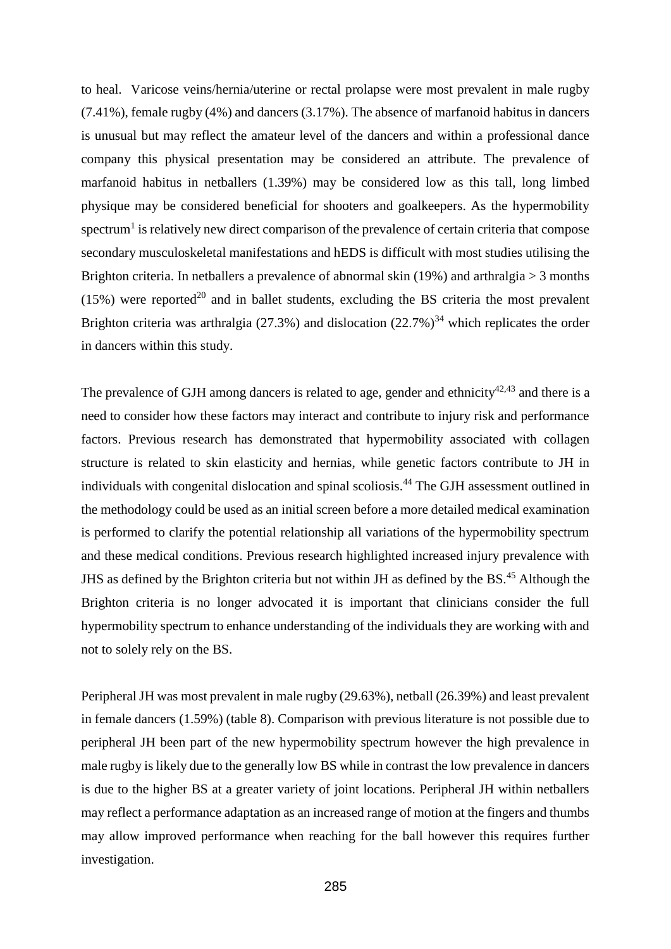to heal. Varicose veins/hernia/uterine or rectal prolapse were most prevalent in male rugby (7.41%), female rugby (4%) and dancers (3.17%). The absence of marfanoid habitus in dancers is unusual but may reflect the amateur level of the dancers and within a professional dance company this physical presentation may be considered an attribute. The prevalence of marfanoid habitus in netballers (1.39%) may be considered low as this tall, long limbed physique may be considered beneficial for shooters and goalkeepers. As the hypermobility spectrum<sup>1</sup> is relatively new direct comparison of the prevalence of certain criteria that compose secondary musculoskeletal manifestations and hEDS is difficult with most studies utilising the Brighton criteria. In netballers a prevalence of abnormal skin (19%) and arthralgia > 3 months  $(15%)$  were reported<sup>20</sup> and in ballet students, excluding the BS criteria the most prevalent Brighton criteria was arthralgia (27.3%) and dislocation (22.7%)<sup>34</sup> which replicates the order in dancers within this study.

The prevalence of GJH among dancers is related to age, gender and ethnicity $42,43$  and there is a need to consider how these factors may interact and contribute to injury risk and performance factors. Previous research has demonstrated that hypermobility associated with collagen structure is related to skin elasticity and hernias, while genetic factors contribute to JH in individuals with congenital dislocation and spinal scoliosis.<sup>44</sup> The GJH assessment outlined in the methodology could be used as an initial screen before a more detailed medical examination is performed to clarify the potential relationship all variations of the hypermobility spectrum and these medical conditions. Previous research highlighted increased injury prevalence with JHS as defined by the Brighton criteria but not within JH as defined by the BS.<sup>45</sup> Although the Brighton criteria is no longer advocated it is important that clinicians consider the full hypermobility spectrum to enhance understanding of the individuals they are working with and not to solely rely on the BS.

Peripheral JH was most prevalent in male rugby (29.63%), netball (26.39%) and least prevalent in female dancers (1.59%) (table 8). Comparison with previous literature is not possible due to peripheral JH been part of the new hypermobility spectrum however the high prevalence in male rugby is likely due to the generally low BS while in contrast the low prevalence in dancers is due to the higher BS at a greater variety of joint locations. Peripheral JH within netballers may reflect a performance adaptation as an increased range of motion at the fingers and thumbs may allow improved performance when reaching for the ball however this requires further investigation.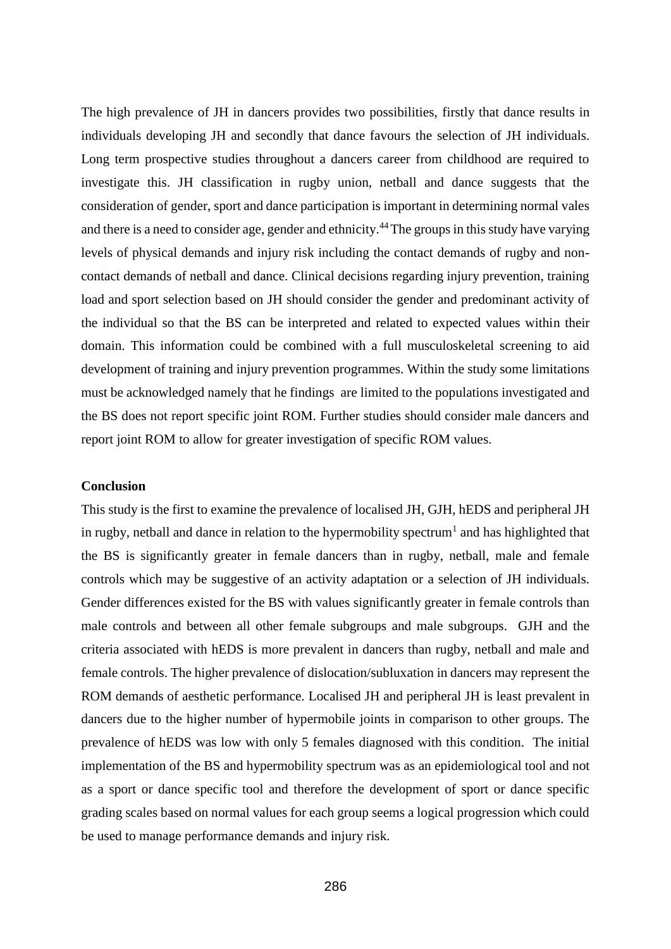The high prevalence of JH in dancers provides two possibilities, firstly that dance results in individuals developing JH and secondly that dance favours the selection of JH individuals. Long term prospective studies throughout a dancers career from childhood are required to investigate this. JH classification in rugby union, netball and dance suggests that the consideration of gender, sport and dance participation is important in determining normal vales and there is a need to consider age, gender and ethnicity.<sup>44</sup> The groups in this study have varying levels of physical demands and injury risk including the contact demands of rugby and noncontact demands of netball and dance. Clinical decisions regarding injury prevention, training load and sport selection based on JH should consider the gender and predominant activity of the individual so that the BS can be interpreted and related to expected values within their domain. This information could be combined with a full musculoskeletal screening to aid development of training and injury prevention programmes. Within the study some limitations must be acknowledged namely that he findings are limited to the populations investigated and the BS does not report specific joint ROM. Further studies should consider male dancers and report joint ROM to allow for greater investigation of specific ROM values.

#### **Conclusion**

This study is the first to examine the prevalence of localised JH, GJH, hEDS and peripheral JH in rugby, netball and dance in relation to the hypermobility spectrum<sup>1</sup> and has highlighted that the BS is significantly greater in female dancers than in rugby, netball, male and female controls which may be suggestive of an activity adaptation or a selection of JH individuals. Gender differences existed for the BS with values significantly greater in female controls than male controls and between all other female subgroups and male subgroups. GJH and the criteria associated with hEDS is more prevalent in dancers than rugby, netball and male and female controls. The higher prevalence of dislocation/subluxation in dancers may represent the ROM demands of aesthetic performance. Localised JH and peripheral JH is least prevalent in dancers due to the higher number of hypermobile joints in comparison to other groups. The prevalence of hEDS was low with only 5 females diagnosed with this condition. The initial implementation of the BS and hypermobility spectrum was as an epidemiological tool and not as a sport or dance specific tool and therefore the development of sport or dance specific grading scales based on normal values for each group seems a logical progression which could be used to manage performance demands and injury risk.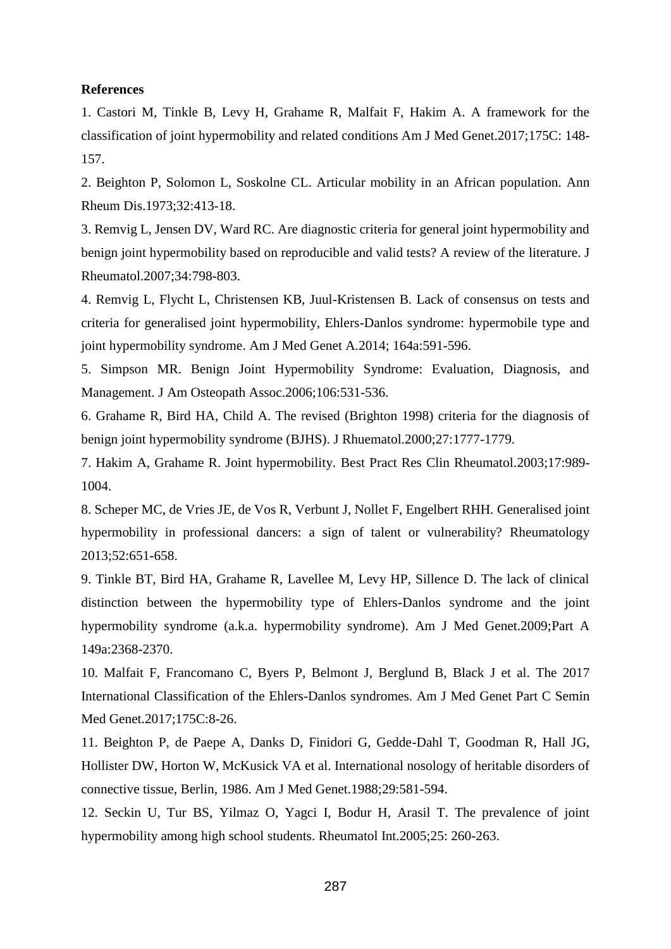#### **References**

1. Castori M, Tinkle B, Levy H, Grahame R, Malfait F, Hakim A. A framework for the classification of joint hypermobility and related conditions Am J Med Genet.2017;175C: 148- 157.

2. Beighton P, Solomon L, Soskolne CL. Articular mobility in an African population. Ann Rheum Dis.1973;32:413-18.

3. Remvig L, Jensen DV, Ward RC. Are diagnostic criteria for general joint hypermobility and benign joint hypermobility based on reproducible and valid tests? A review of the literature. J Rheumatol.2007;34:798-803.

4. Remvig L, Flycht L, Christensen KB, Juul-Kristensen B. Lack of consensus on tests and criteria for generalised joint hypermobility, Ehlers-Danlos syndrome: hypermobile type and joint hypermobility syndrome. Am J Med Genet A.2014; 164a:591-596.

5. Simpson MR. Benign Joint Hypermobility Syndrome: Evaluation, Diagnosis, and Management. J Am Osteopath Assoc.2006;106:531-536.

6. Grahame R, Bird HA, Child A. The revised (Brighton 1998) criteria for the diagnosis of benign joint hypermobility syndrome (BJHS). J Rhuematol.2000;27:1777-1779.

7. Hakim A, Grahame R. Joint hypermobility. Best Pract Res Clin Rheumatol.2003;17:989- 1004.

8. Scheper MC, de Vries JE, de Vos R, Verbunt J, Nollet F, Engelbert RHH. Generalised joint hypermobility in professional dancers: a sign of talent or vulnerability? Rheumatology 2013;52:651-658.

9. Tinkle BT, Bird HA, Grahame R, Lavellee M, Levy HP, Sillence D. The lack of clinical distinction between the hypermobility type of Ehlers-Danlos syndrome and the joint hypermobility syndrome (a.k.a. hypermobility syndrome). Am J Med Genet.2009;Part A 149a:2368-2370.

10. Malfait F, Francomano C, Byers P, Belmont J, Berglund B, Black J et al. The 2017 International Classification of the Ehlers-Danlos syndromes. Am J Med Genet Part C Semin Med Genet.2017;175C:8-26.

11. Beighton P, de Paepe A, Danks D, Finidori G, Gedde-Dahl T, Goodman R, Hall JG, Hollister DW, Horton W, McKusick VA et al. International nosology of heritable disorders of connective tissue, Berlin, 1986. Am J Med Genet.1988;29:581-594.

12. Seckin U, Tur BS, Yilmaz O, Yagci I, Bodur H, Arasil T. The prevalence of joint hypermobility among high school students. Rheumatol Int.2005;25: 260-263.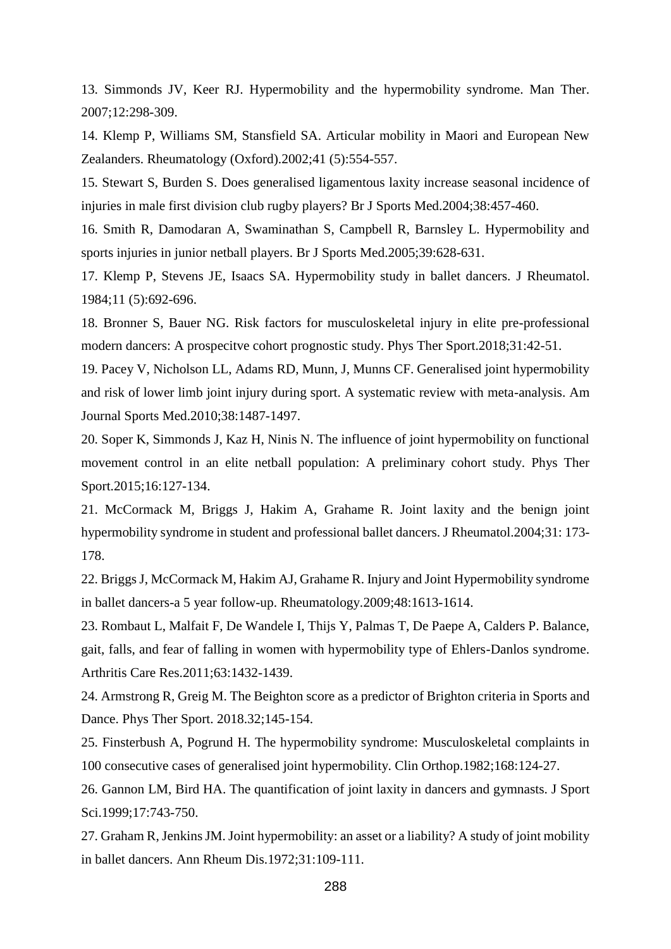13. Simmonds JV, Keer RJ. Hypermobility and the hypermobility syndrome. Man Ther. 2007;12:298-309.

14. Klemp P, Williams SM, Stansfield SA. Articular mobility in Maori and European New Zealanders. Rheumatology (Oxford).2002;41 (5):554-557.

15. Stewart S, Burden S. Does generalised ligamentous laxity increase seasonal incidence of injuries in male first division club rugby players? Br J Sports Med.2004;38:457-460.

16. Smith R, Damodaran A, Swaminathan S, Campbell R, Barnsley L. Hypermobility and sports injuries in junior netball players. Br J Sports Med.2005;39:628-631.

17. Klemp P, Stevens JE, Isaacs SA. Hypermobility study in ballet dancers. J Rheumatol. 1984;11 (5):692-696.

18. Bronner S, Bauer NG. Risk factors for musculoskeletal injury in elite pre-professional modern dancers: A prospecitve cohort prognostic study. Phys Ther Sport.2018;31:42-51.

19. Pacey V, Nicholson LL, Adams RD, Munn, J, Munns CF. Generalised joint hypermobility and risk of lower limb joint injury during sport. A systematic review with meta-analysis. Am Journal Sports Med.2010;38:1487-1497.

20. Soper K, Simmonds J, Kaz H, Ninis N. The influence of joint hypermobility on functional movement control in an elite netball population: A preliminary cohort study. Phys Ther Sport.2015;16:127-134.

21. McCormack M, Briggs J, Hakim A, Grahame R. Joint laxity and the benign joint hypermobility syndrome in student and professional ballet dancers. J Rheumatol.2004;31: 173- 178.

22. Briggs J, McCormack M, Hakim AJ, Grahame R. Injury and Joint Hypermobility syndrome in ballet dancers-a 5 year follow-up. Rheumatology.2009;48:1613-1614.

23. Rombaut L, Malfait F, De Wandele I, Thijs Y, Palmas T, De Paepe A, Calders P. Balance, gait, falls, and fear of falling in women with hypermobility type of Ehlers-Danlos syndrome. Arthritis Care Res.2011;63:1432-1439.

24. Armstrong R, Greig M. The Beighton score as a predictor of Brighton criteria in Sports and Dance. Phys Ther Sport. 2018.32;145-154.

25. Finsterbush A, Pogrund H. The hypermobility syndrome: Musculoskeletal complaints in 100 consecutive cases of generalised joint hypermobility. Clin Orthop.1982;168:124-27.

26. Gannon LM, Bird HA. The quantification of joint laxity in dancers and gymnasts. J Sport Sci.1999;17:743-750.

27. Graham R, Jenkins JM. Joint hypermobility: an asset or a liability? A study of joint mobility in ballet dancers. Ann Rheum Dis.1972;31:109-111.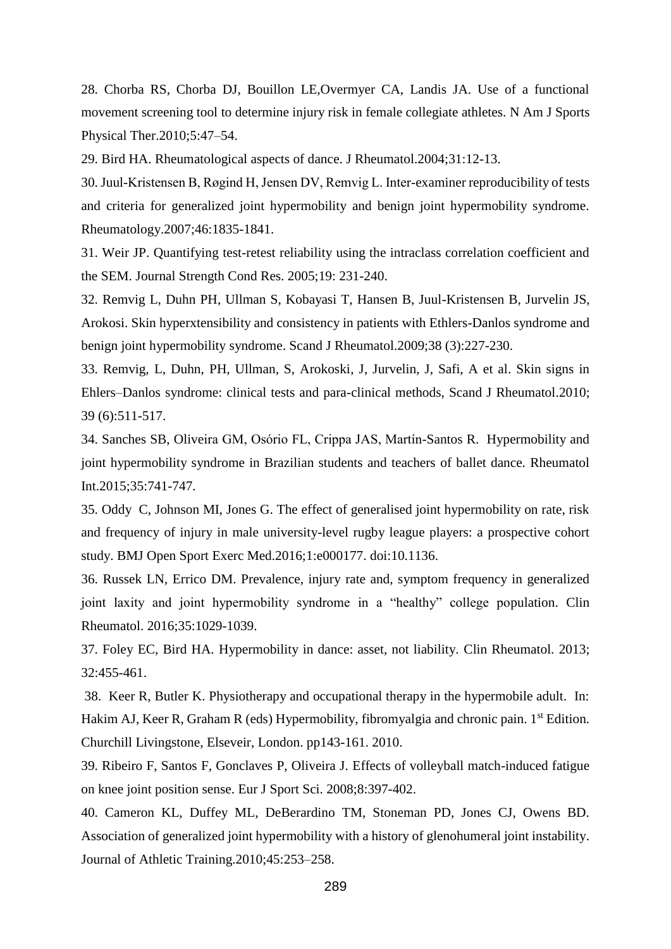28. Chorba RS, Chorba DJ, Bouillon LE,Overmyer CA, Landis JA. Use of a functional movement screening tool to determine injury risk in female collegiate athletes. N Am J Sports Physical Ther.2010;5:47–54.

29. Bird HA. Rheumatological aspects of dance. J Rheumatol.2004;31:12-13.

30. Juul-Kristensen B, Røgind H, Jensen DV, Remvig L. Inter-examiner reproducibility of tests and criteria for generalized joint hypermobility and benign joint hypermobility syndrome. Rheumatology.2007;46:1835-1841.

31. Weir JP. Quantifying test-retest reliability using the intraclass correlation coefficient and the SEM. Journal Strength Cond Res. 2005;19: 231-240.

32. Remvig L, Duhn PH, Ullman S, Kobayasi T, Hansen B, Juul-Kristensen B, Jurvelin JS, Arokosi. Skin hyperxtensibility and consistency in patients with Ethlers-Danlos syndrome and benign joint hypermobility syndrome. Scand J Rheumatol.2009;38 (3):227-230.

33. Remvig, L, Duhn, PH, Ullman, S, Arokoski, J, Jurvelin, J, Safi, A et al. Skin signs in Ehlers–Danlos syndrome: clinical tests and para-clinical methods, Scand J Rheumatol.2010; 39 (6):511-517.

34. Sanches SB, Oliveira GM, Osório FL, Crippa JAS, Martín-Santos R. Hypermobility and joint hypermobility syndrome in Brazilian students and teachers of ballet dance. Rheumatol Int.2015;35:741-747.

35. Oddy C, Johnson MI, Jones G. The effect of generalised joint hypermobility on rate, risk and frequency of injury in male university-level rugby league players: a prospective cohort study. BMJ Open Sport Exerc Med.2016;1:e000177. doi:10.1136.

36. Russek LN, Errico DM. Prevalence, injury rate and, symptom frequency in generalized joint laxity and joint hypermobility syndrome in a "healthy" college population. Clin Rheumatol. 2016;35:1029-1039.

37. Foley EC, Bird HA. Hypermobility in dance: asset, not liability. Clin Rheumatol. 2013; 32:455-461.

38. Keer R, Butler K. Physiotherapy and occupational therapy in the hypermobile adult. In: Hakim AJ, Keer R, Graham R (eds) Hypermobility, fibromyalgia and chronic pain. 1<sup>st</sup> Edition. Churchill Livingstone, Elseveir, London. pp143-161. 2010.

39. Ribeiro F, Santos F, Gonclaves P, Oliveira J. Effects of volleyball match-induced fatigue on knee joint position sense. Eur J Sport Sci. 2008;8:397-402.

40. Cameron KL, Duffey ML, DeBerardino TM, Stoneman PD, Jones CJ, Owens BD. Association of generalized joint hypermobility with a history of glenohumeral joint instability. Journal of Athletic Training.2010;45:253–258.